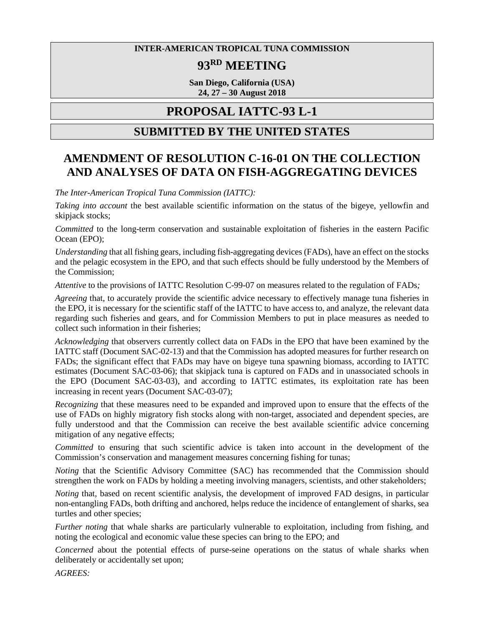### **INTER-AMERICAN TROPICAL TUNA COMMISSION**

# **93RD MEETING**

**San Diego, California (USA) 24, 27 – 30 August 2018**

## **PROPOSAL IATTC-93 L-1**

## **SUBMITTED BY THE UNITED STATES**

## **AMENDMENT OF RESOLUTION C-16-01 ON THE COLLECTION AND ANALYSES OF DATA ON FISH-AGGREGATING DEVICES**

*The Inter-American Tropical Tuna Commission (IATTC):*

*Taking into account* the best available scientific information on the status of the bigeye, yellowfin and skipjack stocks;

*Committed* to the long-term conservation and sustainable exploitation of fisheries in the eastern Pacific Ocean (EPO);

*Understanding* that all fishing gears, including fish-aggregating devices (FADs), have an effect on the stocks and the pelagic ecosystem in the EPO, and that such effects should be fully understood by the Members of the Commission;

*Attentive* to the provisions of IATTC Resolution C-99-07 on measures related to the regulation of FADs*;*

*Agreeing* that, to accurately provide the scientific advice necessary to effectively manage tuna fisheries in the EPO, it is necessary for the scientific staff of the IATTC to have access to, and analyze, the relevant data regarding such fisheries and gears, and for Commission Members to put in place measures as needed to collect such information in their fisheries;

*Acknowledging* that observers currently collect data on FADs in the EPO that have been examined by the IATTC staff (Document SAC-02-13) and that the Commission has adopted measures for further research on FADs; the significant effect that FADs may have on bigeye tuna spawning biomass, according to IATTC estimates (Document SAC-03-06); that skipjack tuna is captured on FADs and in unassociated schools in the EPO (Document SAC-03-03), and according to IATTC estimates, its exploitation rate has been increasing in recent years (Document SAC-03-07);

*Recognizing* that these measures need to be expanded and improved upon to ensure that the effects of the use of FADs on highly migratory fish stocks along with non-target, associated and dependent species, are fully understood and that the Commission can receive the best available scientific advice concerning mitigation of any negative effects;

*Committed* to ensuring that such scientific advice is taken into account in the development of the Commission's conservation and management measures concerning fishing for tunas;

*Noting* that the Scientific Advisory Committee (SAC) has recommended that the Commission should strengthen the work on FADs by holding a meeting involving managers, scientists, and other stakeholders;

*Noting* that, based on recent scientific analysis, the development of improved FAD designs, in particular non-entangling FADs, both drifting and anchored, helps reduce the incidence of entanglement of sharks, sea turtles and other species;

*Further noting* that whale sharks are particularly vulnerable to exploitation, including from fishing, and noting the ecological and economic value these species can bring to the EPO; and

*Concerned* about the potential effects of purse-seine operations on the status of whale sharks when deliberately or accidentally set upon;

*AGREES:*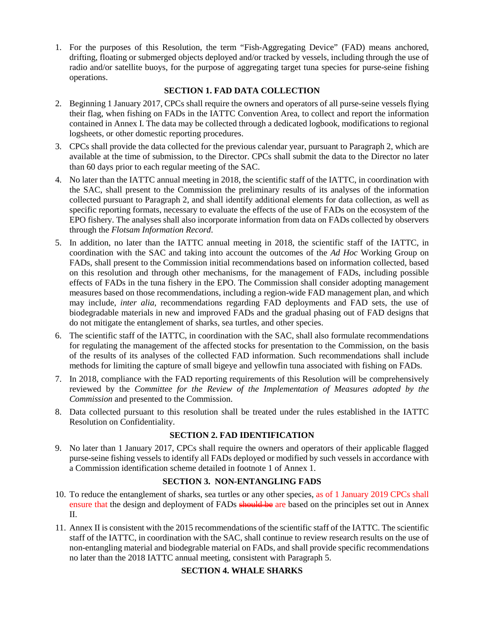1. For the purposes of this Resolution, the term "Fish-Aggregating Device" (FAD) means anchored, drifting, floating or submerged objects deployed and/or tracked by vessels, including through the use of radio and/or satellite buoys, for the purpose of aggregating target tuna species for purse-seine fishing operations.

### **SECTION 1. FAD DATA COLLECTION**

- 2. Beginning 1 January 2017, CPCs shall require the owners and operators of all purse-seine vessels flying their flag, when fishing on FADs in the IATTC Convention Area, to collect and report the information contained in Annex I. The data may be collected through a dedicated logbook, modifications to regional logsheets, or other domestic reporting procedures.
- 3. CPCs shall provide the data collected for the previous calendar year, pursuant to Paragraph 2, which are available at the time of submission, to the Director. CPCs shall submit the data to the Director no later than 60 days prior to each regular meeting of the SAC.
- 4. No later than the IATTC annual meeting in 2018, the scientific staff of the IATTC, in coordination with the SAC, shall present to the Commission the preliminary results of its analyses of the information collected pursuant to Paragraph 2, and shall identify additional elements for data collection, as well as specific reporting formats, necessary to evaluate the effects of the use of FADs on the ecosystem of the EPO fishery. The analyses shall also incorporate information from data on FADs collected by observers through the *Flotsam Information Record*.
- 5. In addition, no later than the IATTC annual meeting in 2018, the scientific staff of the IATTC, in coordination with the SAC and taking into account the outcomes of the *Ad Hoc* Working Group on FADs, shall present to the Commission initial recommendations based on information collected, based on this resolution and through other mechanisms, for the management of FADs, including possible effects of FADs in the tuna fishery in the EPO. The Commission shall consider adopting management measures based on those recommendations, including a region-wide FAD management plan, and which may include, *inter alia*, recommendations regarding FAD deployments and FAD sets, the use of biodegradable materials in new and improved FADs and the gradual phasing out of FAD designs that do not mitigate the entanglement of sharks, sea turtles, and other species.
- 6. The scientific staff of the IATTC, in coordination with the SAC, shall also formulate recommendations for regulating the management of the affected stocks for presentation to the Commission, on the basis of the results of its analyses of the collected FAD information. Such recommendations shall include methods for limiting the capture of small bigeye and yellowfin tuna associated with fishing on FADs.
- 7. In 2018, compliance with the FAD reporting requirements of this Resolution will be comprehensively reviewed by the *Committee for the Review of the Implementation of Measures adopted by the Commission* and presented to the Commission.
- 8. Data collected pursuant to this resolution shall be treated under the rules established in the IATTC Resolution on Confidentiality.

### **SECTION 2. FAD IDENTIFICATION**

9. No later than 1 January 2017, CPCs shall require the owners and operators of their applicable flagged purse-seine fishing vessels to identify all FADs deployed or modified by such vessels in accordance with a Commission identification scheme detailed in footnote 1 of Annex 1.

### **SECTION 3. NON-ENTANGLING FADS**

- 10. To reduce the entanglement of sharks, sea turtles or any other species, as of 1 January 2019 CPCs shall ensure that the design and deployment of FADs should be are based on the principles set out in Annex II.
- 11. Annex II is consistent with the 2015 recommendations of the scientific staff of the IATTC. The scientific staff of the IATTC, in coordination with the SAC, shall continue to review research results on the use of non-entangling material and biodegrable material on FADs, and shall provide specific recommendations no later than the 2018 IATTC annual meeting, consistent with Paragraph 5.

## **SECTION 4. WHALE SHARKS**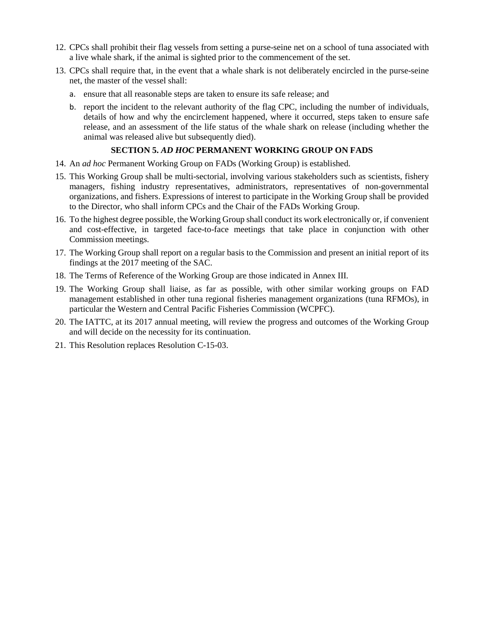- 12. CPCs shall prohibit their flag vessels from setting a purse-seine net on a school of tuna associated with a live whale shark, if the animal is sighted prior to the commencement of the set.
- 13. CPCs shall require that, in the event that a whale shark is not deliberately encircled in the purse-seine net, the master of the vessel shall:
	- a. ensure that all reasonable steps are taken to ensure its safe release; and
	- b. report the incident to the relevant authority of the flag CPC, including the number of individuals, details of how and why the encirclement happened, where it occurred, steps taken to ensure safe release, and an assessment of the life status of the whale shark on release (including whether the animal was released alive but subsequently died).

#### **SECTION 5.** *AD HOC* **PERMANENT WORKING GROUP ON FADS**

- 14. An *ad hoc* Permanent Working Group on FADs (Working Group) is established.
- 15. This Working Group shall be multi-sectorial, involving various stakeholders such as scientists, fishery managers, fishing industry representatives, administrators, representatives of non-governmental organizations, and fishers. Expressions of interest to participate in the Working Group shall be provided to the Director, who shall inform CPCs and the Chair of the FADs Working Group.
- 16. To the highest degree possible, the Working Group shall conduct its work electronically or, if convenient and cost-effective, in targeted face-to-face meetings that take place in conjunction with other Commission meetings.
- 17. The Working Group shall report on a regular basis to the Commission and present an initial report of its findings at the 2017 meeting of the SAC.
- 18. The Terms of Reference of the Working Group are those indicated in Annex III.
- 19. The Working Group shall liaise, as far as possible, with other similar working groups on FAD management established in other tuna regional fisheries management organizations (tuna RFMOs), in particular the Western and Central Pacific Fisheries Commission (WCPFC).
- 20. The IATTC, at its 2017 annual meeting, will review the progress and outcomes of the Working Group and will decide on the necessity for its continuation.
- 21. This Resolution replaces Resolution C-15-03.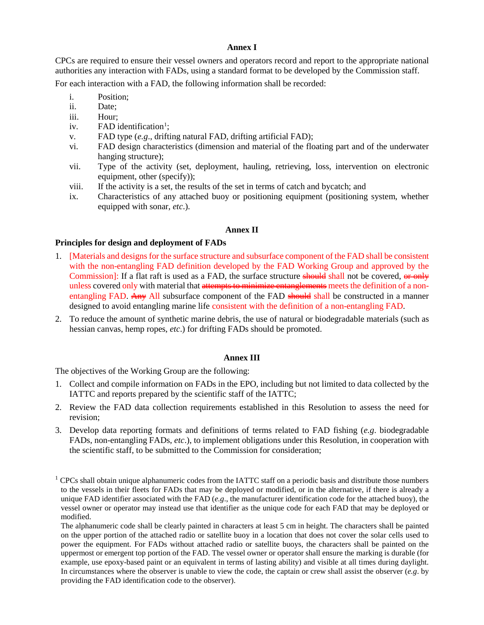#### **Annex I**

CPCs are required to ensure their vessel owners and operators record and report to the appropriate national authorities any interaction with FADs, using a standard format to be developed by the Commission staff.

For each interaction with a FAD, the following information shall be recorded:

- i. Position;
- ii. Date;
- iii. Hour;
- iv. FAD identification<sup>[1](#page-3-0)</sup>;
- v. FAD type (*e.g*., drifting natural FAD, drifting artificial FAD);
- vi. FAD design characteristics (dimension and material of the floating part and of the underwater hanging structure);
- vii. Type of the activity (set, deployment, hauling, retrieving, loss, intervention on electronic equipment, other (specify));
- viii. If the activity is a set, the results of the set in terms of catch and bycatch; and
- ix. Characteristics of any attached buoy or positioning equipment (positioning system, whether equipped with sonar, *etc*.).

#### **Annex II**

#### **Principles for design and deployment of FADs**

- 1. [Materials and designs for the surface structure and subsurface component of the FAD shall be consistent with the non-entangling FAD definition developed by the FAD Working Group and approved by the Commission]: If a flat raft is used as a FAD, the surface structure should shall not be covered, or only unless covered only with material that attempts to minimize entanglements meets the definition of a nonentangling FAD. Any All subsurface component of the FAD should shall be constructed in a manner designed to avoid entangling marine life consistent with the definition of a non-entangling FAD.
- 2. To reduce the amount of synthetic marine debris, the use of natural or biodegradable materials (such as hessian canvas, hemp ropes, *etc*.) for drifting FADs should be promoted.

#### **Annex III**

The objectives of the Working Group are the following:

- 1. Collect and compile information on FADs in the EPO, including but not limited to data collected by the IATTC and reports prepared by the scientific staff of the IATTC;
- 2. Review the FAD data collection requirements established in this Resolution to assess the need for revision;
- 3. Develop data reporting formats and definitions of terms related to FAD fishing (*e.g*. biodegradable FADs, non-entangling FADs, *etc*.), to implement obligations under this Resolution, in cooperation with the scientific staff, to be submitted to the Commission for consideration;

The alphanumeric code shall be clearly painted in characters at least 5 cm in height. The characters shall be painted on the upper portion of the attached radio or satellite buoy in a location that does not cover the solar cells used to power the equipment. For FADs without attached radio or satellite buoys, the characters shall be painted on the uppermost or emergent top portion of the FAD. The vessel owner or operator shall ensure the marking is durable (for example, use epoxy-based paint or an equivalent in terms of lasting ability) and visible at all times during daylight. In circumstances where the observer is unable to view the code, the captain or crew shall assist the observer (*e.g*. by providing the FAD identification code to the observer).

<span id="page-3-0"></span> $<sup>1</sup>$  CPCs shall obtain unique alphanumeric codes from the IATTC staff on a periodic basis and distribute those numbers</sup> to the vessels in their fleets for FADs that may be deployed or modified, or in the alternative, if there is already a unique FAD identifier associated with the FAD (*e.g*., the manufacturer identification code for the attached buoy), the vessel owner or operator may instead use that identifier as the unique code for each FAD that may be deployed or modified.